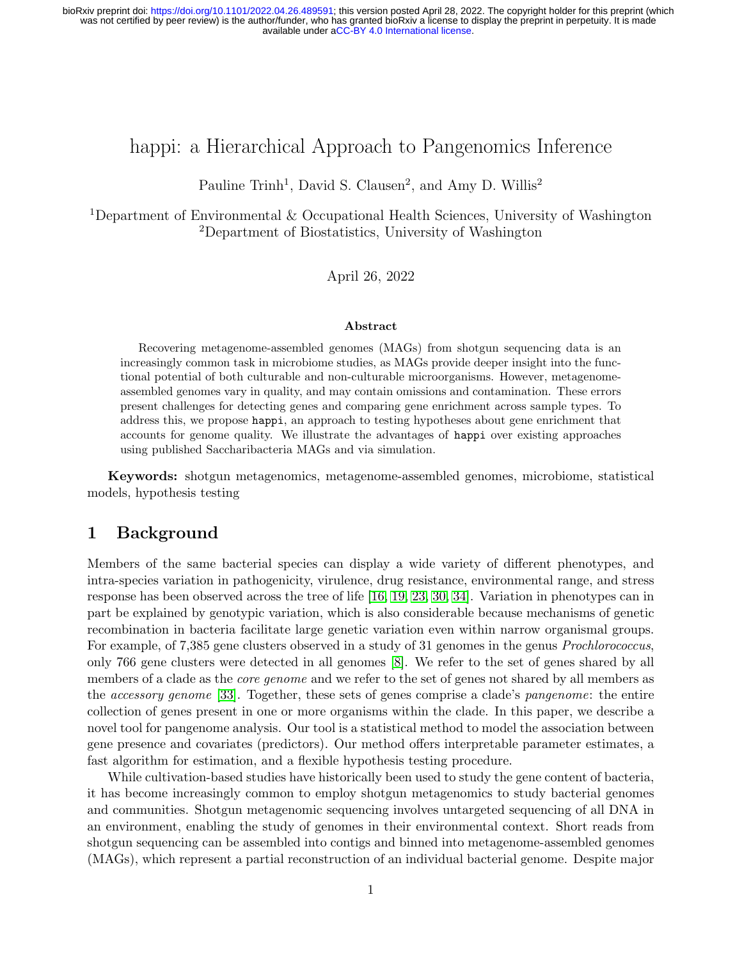# happi: a Hierarchical Approach to Pangenomics Inference

Pauline Trinh<sup>1</sup>, David S. Clausen<sup>2</sup>, and Amy D. Willis<sup>2</sup>

<sup>1</sup>Department of Environmental & Occupational Health Sciences, University of Washington <sup>2</sup>Department of Biostatistics, University of Washington

April 26, 2022

#### Abstract

Recovering metagenome-assembled genomes (MAGs) from shotgun sequencing data is an increasingly common task in microbiome studies, as MAGs provide deeper insight into the functional potential of both culturable and non-culturable microorganisms. However, metagenomeassembled genomes vary in quality, and may contain omissions and contamination. These errors present challenges for detecting genes and comparing gene enrichment across sample types. To address this, we propose happi, an approach to testing hypotheses about gene enrichment that accounts for genome quality. We illustrate the advantages of happi over existing approaches using published Saccharibacteria MAGs and via simulation.

Keywords: shotgun metagenomics, metagenome-assembled genomes, microbiome, statistical models, hypothesis testing

# 1 Background

Members of the same bacterial species can display a wide variety of different phenotypes, and intra-species variation in pathogenicity, virulence, drug resistance, environmental range, and stress response has been observed across the tree of life [\[16,](#page-10-0) [19,](#page-10-1) [23,](#page-11-0) [30,](#page-11-1) [34\]](#page-12-0). Variation in phenotypes can in part be explained by genotypic variation, which is also considerable because mechanisms of genetic recombination in bacteria facilitate large genetic variation even within narrow organismal groups. For example, of 7,385 gene clusters observed in a study of 31 genomes in the genus *Prochlorococcus*, only 766 gene clusters were detected in all genomes [\[8\]](#page-9-0). We refer to the set of genes shared by all members of a clade as the *core genome* and we refer to the set of genes not shared by all members as the accessory genome [\[33\]](#page-12-1). Together, these sets of genes comprise a clade's pangenome: the entire collection of genes present in one or more organisms within the clade. In this paper, we describe a novel tool for pangenome analysis. Our tool is a statistical method to model the association between gene presence and covariates (predictors). Our method offers interpretable parameter estimates, a fast algorithm for estimation, and a flexible hypothesis testing procedure.

While cultivation-based studies have historically been used to study the gene content of bacteria, it has become increasingly common to employ shotgun metagenomics to study bacterial genomes and communities. Shotgun metagenomic sequencing involves untargeted sequencing of all DNA in an environment, enabling the study of genomes in their environmental context. Short reads from shotgun sequencing can be assembled into contigs and binned into metagenome-assembled genomes (MAGs), which represent a partial reconstruction of an individual bacterial genome. Despite major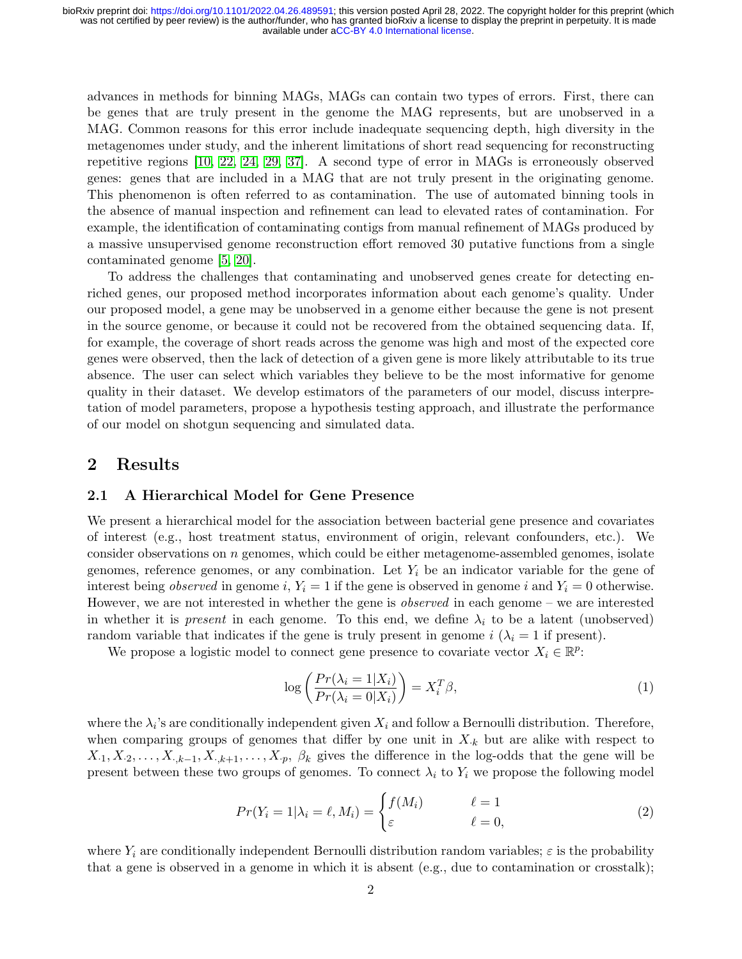advances in methods for binning MAGs, MAGs can contain two types of errors. First, there can be genes that are truly present in the genome the MAG represents, but are unobserved in a MAG. Common reasons for this error include inadequate sequencing depth, high diversity in the metagenomes under study, and the inherent limitations of short read sequencing for reconstructing repetitive regions [\[10,](#page-9-1) [22,](#page-11-2) [24,](#page-11-3) [29,](#page-11-4) [37\]](#page-12-2). A second type of error in MAGs is erroneously observed genes: genes that are included in a MAG that are not truly present in the originating genome. This phenomenon is often referred to as contamination. The use of automated binning tools in the absence of manual inspection and refinement can lead to elevated rates of contamination. For example, the identification of contaminating contigs from manual refinement of MAGs produced by a massive unsupervised genome reconstruction effort removed 30 putative functions from a single contaminated genome [\[5,](#page-9-2) [20\]](#page-10-2).

To address the challenges that contaminating and unobserved genes create for detecting enriched genes, our proposed method incorporates information about each genome's quality. Under our proposed model, a gene may be unobserved in a genome either because the gene is not present in the source genome, or because it could not be recovered from the obtained sequencing data. If, for example, the coverage of short reads across the genome was high and most of the expected core genes were observed, then the lack of detection of a given gene is more likely attributable to its true absence. The user can select which variables they believe to be the most informative for genome quality in their dataset. We develop estimators of the parameters of our model, discuss interpretation of model parameters, propose a hypothesis testing approach, and illustrate the performance of our model on shotgun sequencing and simulated data.

# 2 Results

### 2.1 A Hierarchical Model for Gene Presence

We present a hierarchical model for the association between bacterial gene presence and covariates of interest (e.g., host treatment status, environment of origin, relevant confounders, etc.). We consider observations on n genomes, which could be either metagenome-assembled genomes, isolate genomes, reference genomes, or any combination. Let  $Y_i$  be an indicator variable for the gene of interest being *observed* in genome i,  $Y_i = 1$  if the gene is observed in genome i and  $Y_i = 0$  otherwise. However, we are not interested in whether the gene is *observed* in each genome – we are interested in whether it is *present* in each genome. To this end, we define  $\lambda_i$  to be a latent (unobserved) random variable that indicates if the gene is truly present in genome i  $(\lambda_i = 1$  if present).

We propose a logistic model to connect gene presence to covariate vector  $X_i \in \mathbb{R}^p$ :

<span id="page-1-0"></span>
$$
\log\left(\frac{Pr(\lambda_i = 1 | X_i)}{Pr(\lambda_i = 0 | X_i)}\right) = X_i^T \beta,\tag{1}
$$

where the  $\lambda_i$ 's are conditionally independent given  $X_i$  and follow a Bernoulli distribution. Therefore, when comparing groups of genomes that differ by one unit in  $X_k$  but are alike with respect to  $X_{\cdot1}, X_{\cdot2}, \ldots, X_{\cdot,k-1}, X_{\cdot,k+1}, \ldots, X_{\cdot p}, \beta_k$  gives the difference in the log-odds that the gene will be present between these two groups of genomes. To connect  $\lambda_i$  to  $Y_i$  we propose the following model

<span id="page-1-1"></span>
$$
Pr(Y_i = 1 | \lambda_i = \ell, M_i) = \begin{cases} f(M_i) & \ell = 1\\ \varepsilon & \ell = 0, \end{cases}
$$
 (2)

where  $Y_i$  are conditionally independent Bernoulli distribution random variables;  $\varepsilon$  is the probability that a gene is observed in a genome in which it is absent (e.g., due to contamination or crosstalk);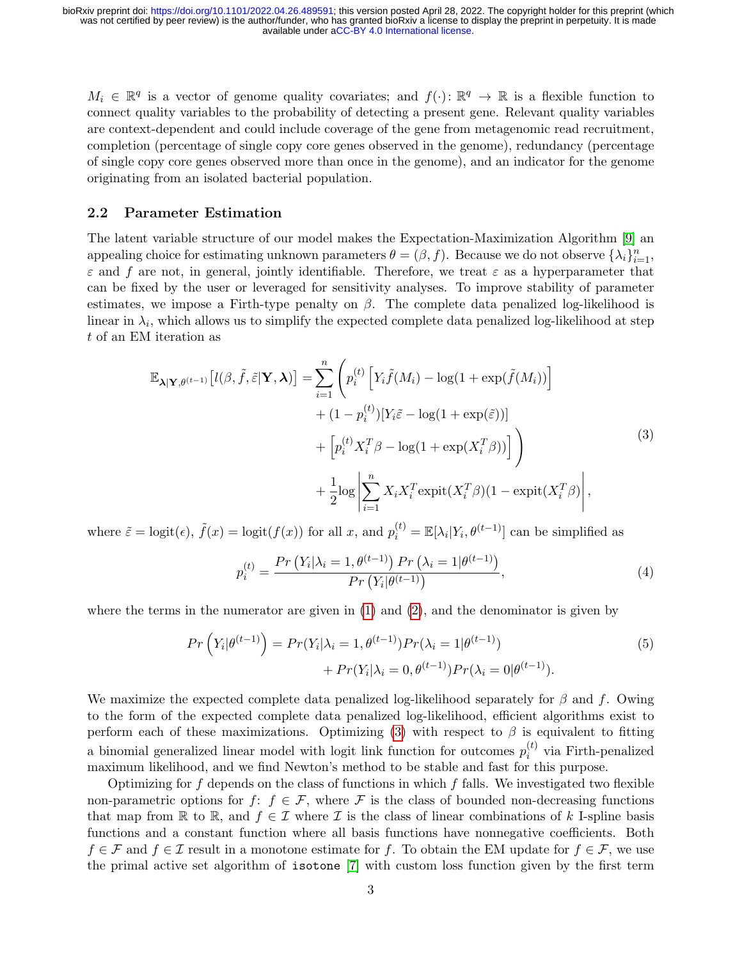$M_i \in \mathbb{R}^q$  is a vector of genome quality covariates; and  $f(\cdot): \mathbb{R}^q \to \mathbb{R}$  is a flexible function to connect quality variables to the probability of detecting a present gene. Relevant quality variables are context-dependent and could include coverage of the gene from metagenomic read recruitment, completion (percentage of single copy core genes observed in the genome), redundancy (percentage of single copy core genes observed more than once in the genome), and an indicator for the genome originating from an isolated bacterial population.

#### 2.2 Parameter Estimation

The latent variable structure of our model makes the Expectation-Maximization Algorithm [\[9\]](#page-9-3) an appealing choice for estimating unknown parameters  $\theta = (\beta, f)$ . Because we do not observe  $\{\lambda_i\}_{i=1}^n$ ,  $\varepsilon$  and f are not, in general, jointly identifiable. Therefore, we treat  $\varepsilon$  as a hyperparameter that can be fixed by the user or leveraged for sensitivity analyses. To improve stability of parameter estimates, we impose a Firth-type penalty on  $\beta$ . The complete data penalized log-likelihood is linear in  $\lambda_i$ , which allows us to simplify the expected complete data penalized log-likelihood at step t of an EM iteration as

<span id="page-2-0"></span>
$$
\mathbb{E}_{\lambda|\mathbf{Y},\theta^{(t-1)}}[l(\beta,\tilde{f},\tilde{\varepsilon}|\mathbf{Y},\lambda)] = \sum_{i=1}^{n} \left( p_i^{(t)} \left[ Y_i \tilde{f}(M_i) - \log(1 + \exp(\tilde{f}(M_i)) \right) + (1 - p_i^{(t)}) [Y_i \tilde{\varepsilon} - \log(1 + \exp(\tilde{\varepsilon}))] + \left[ p_i^{(t)} X_i^T \beta - \log(1 + \exp(X_i^T \beta)) \right] \right) + \frac{1}{2} \log \left| \sum_{i=1}^{n} X_i X_i^T \exp\left(X_i^T \beta\right) (1 - \exp\left(X_i^T \beta\right)) \right|,
$$
\n(3)

where  $\tilde{\varepsilon} = \text{logit}(\epsilon)$ ,  $\tilde{f}(x) = \text{logit}(f(x))$  for all x, and  $p_i^{(t)} = \mathbb{E}[\lambda_i | Y_i, \theta^{(t-1)}]$  can be simplified as

$$
p_i^{(t)} = \frac{Pr(Y_i | \lambda_i = 1, \theta^{(t-1)}) Pr(\lambda_i = 1 | \theta^{(t-1)})}{Pr(Y_i | \theta^{(t-1)})},
$$
\n(4)

where the terms in the numerator are given in  $(1)$  and  $(2)$ , and the denominator is given by

$$
Pr\left(Y_i|\theta^{(t-1)}\right) = Pr(Y_i|\lambda_i = 1, \theta^{(t-1)})Pr(\lambda_i = 1|\theta^{(t-1)}) + Pr(Y_i|\lambda_i = 0, \theta^{(t-1)})Pr(\lambda_i = 0|\theta^{(t-1)}).
$$
\n(5)

We maximize the expected complete data penalized log-likelihood separately for  $\beta$  and f. Owing to the form of the expected complete data penalized log-likelihood, efficient algorithms exist to perform each of these maximizations. Optimizing [\(3\)](#page-2-0) with respect to  $\beta$  is equivalent to fitting a binomial generalized linear model with logit link function for outcomes  $p_i^{(t)}$  $i^{(i)}$  via Firth-penalized maximum likelihood, and we find Newton's method to be stable and fast for this purpose.

Optimizing for  $f$  depends on the class of functions in which  $f$  falls. We investigated two flexible non-parametric options for  $f: f \in \mathcal{F}$ , where  $\mathcal F$  is the class of bounded non-decreasing functions that map from R to R, and  $f \in \mathcal{I}$  where  $\mathcal{I}$  is the class of linear combinations of k I-spline basis functions and a constant function where all basis functions have nonnegative coefficients. Both  $f \in \mathcal{F}$  and  $f \in \mathcal{I}$  result in a monotone estimate for f. To obtain the EM update for  $f \in \mathcal{F}$ , we use the primal active set algorithm of isotone [\[7\]](#page-9-4) with custom loss function given by the first term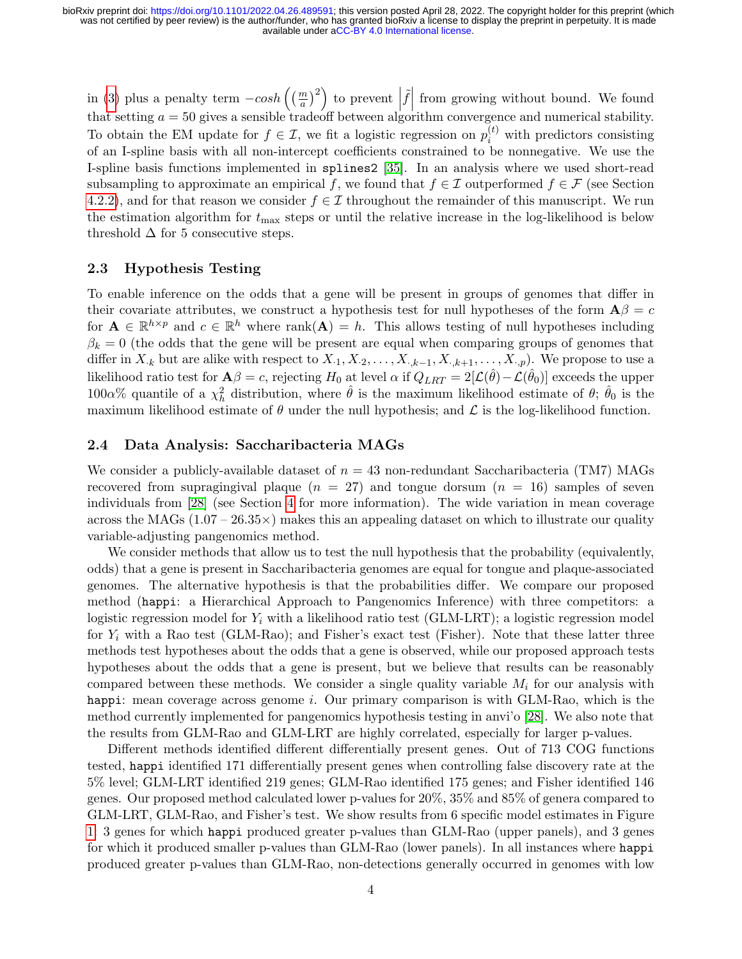in [\(3\)](#page-2-0) plus a penalty term  $-cosh\left(\left(\frac{m}{a}\right)^2\right)$  to prevent  $\tilde{f}$  from growing without bound. We found that setting  $a = 50$  gives a sensible tradeoff between algorithm convergence and numerical stability. To obtain the EM update for  $f \in \mathcal{I}$ , we fit a logistic regression on  $p_i^{(t)}$  with predictors consisting of an I-spline basis with all non-intercept coefficients constrained to be nonnegative. We use the I-spline basis functions implemented in splines2 [\[35\]](#page-12-3). In an analysis where we used short-read subsampling to approximate an empirical f, we found that  $f \in \mathcal{I}$  outperformed  $f \in \mathcal{F}$  (see Section [4.2.2\)](#page-7-0), and for that reason we consider  $f \in \mathcal{I}$  throughout the remainder of this manuscript. We run the estimation algorithm for  $t_{\text{max}}$  steps or until the relative increase in the log-likelihood is below threshold  $\Delta$  for 5 consecutive steps.

## 2.3 Hypothesis Testing

To enable inference on the odds that a gene will be present in groups of genomes that differ in their covariate attributes, we construct a hypothesis test for null hypotheses of the form  $\mathbf{A}\beta = c$ for  $\mathbf{A} \in \mathbb{R}^{h \times p}$  and  $c \in \mathbb{R}^h$  where rank $(\mathbf{A}) = h$ . This allows testing of null hypotheses including  $\beta_k = 0$  (the odds that the gene will be present are equal when comparing groups of genomes that differ in  $X_{\cdot,k}$  but are alike with respect to  $X_{\cdot1}, X_{\cdot2}, \ldots, X_{\cdot,k-1}, X_{\cdot,k+1}, \ldots, X_{\cdot,p}$ . We propose to use a likelihood ratio test for  $\mathbf{A}\beta = c$ , rejecting  $H_0$  at level  $\alpha$  if  $Q_{LRT} = 2[\mathcal{L}(\hat{\theta}) - \mathcal{L}(\hat{\theta}_0)]$  exceeds the upper 100α% quantile of a  $\chi^2_h$  distribution, where  $\hat{\theta}$  is the maximum likelihood estimate of  $\theta$ ;  $\hat{\theta}_0$  is the maximum likelihood estimate of  $\theta$  under the null hypothesis; and  $\mathcal L$  is the log-likelihood function.

## <span id="page-3-0"></span>2.4 Data Analysis: Saccharibacteria MAGs

We consider a publicly-available dataset of  $n = 43$  non-redundant Saccharibacteria (TM7) MAGs recovered from supragingival plaque  $(n = 27)$  and tongue dorsum  $(n = 16)$  samples of seven individuals from [\[28\]](#page-11-5) (see Section [4](#page-7-1) for more information). The wide variation in mean coverage across the MAGs  $(1.07 - 26.35 \times)$  makes this an appealing dataset on which to illustrate our quality variable-adjusting pangenomics method.

We consider methods that allow us to test the null hypothesis that the probability (equivalently, odds) that a gene is present in Saccharibacteria genomes are equal for tongue and plaque-associated genomes. The alternative hypothesis is that the probabilities differ. We compare our proposed method (happi: a Hierarchical Approach to Pangenomics Inference) with three competitors: a logistic regression model for  $Y_i$  with a likelihood ratio test (GLM-LRT); a logistic regression model for  $Y_i$  with a Rao test (GLM-Rao); and Fisher's exact test (Fisher). Note that these latter three methods test hypotheses about the odds that a gene is observed, while our proposed approach tests hypotheses about the odds that a gene is present, but we believe that results can be reasonably compared between these methods. We consider a single quality variable  $M_i$  for our analysis with happi: mean coverage across genome *i*. Our primary comparison is with GLM-Rao, which is the method currently implemented for pangenomics hypothesis testing in anvi'o [\[28\]](#page-11-5). We also note that the results from GLM-Rao and GLM-LRT are highly correlated, especially for larger p-values.

Different methods identified different differentially present genes. Out of 713 COG functions tested, happi identified 171 differentially present genes when controlling false discovery rate at the 5% level; GLM-LRT identified 219 genes; GLM-Rao identified 175 genes; and Fisher identified 146 genes. Our proposed method calculated lower p-values for 20%, 35% and 85% of genera compared to GLM-LRT, GLM-Rao, and Fisher's test. We show results from 6 specific model estimates in Figure [1:](#page-4-0) 3 genes for which happi produced greater p-values than GLM-Rao (upper panels), and 3 genes for which it produced smaller p-values than GLM-Rao (lower panels). In all instances where happi produced greater p-values than GLM-Rao, non-detections generally occurred in genomes with low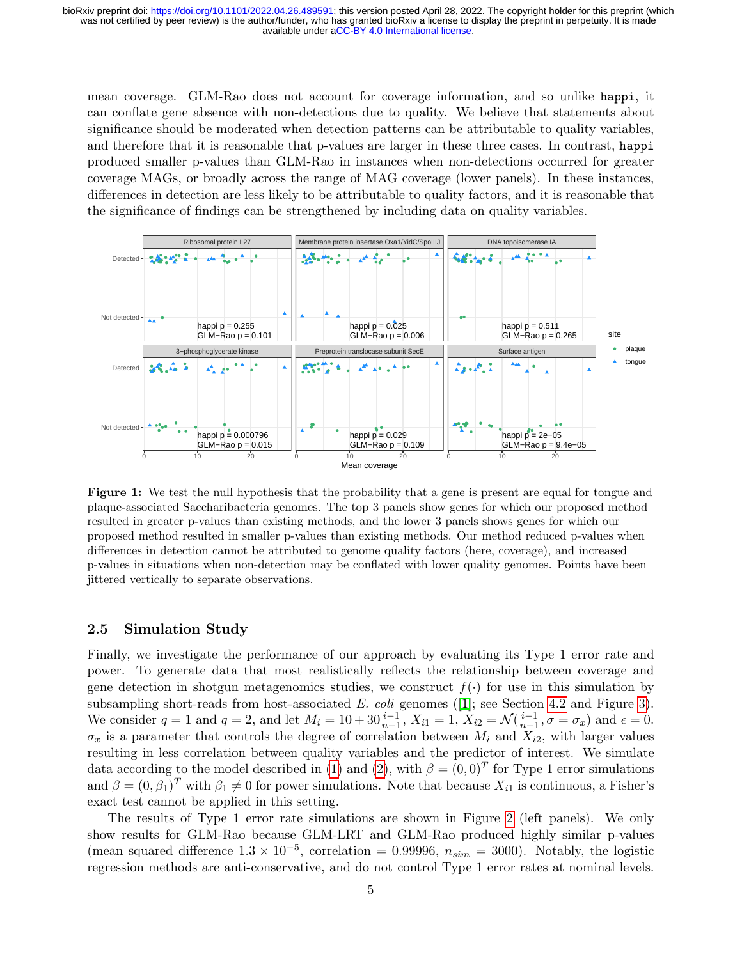mean coverage. GLM-Rao does not account for coverage information, and so unlike happi, it can conflate gene absence with non-detections due to quality. We believe that statements about significance should be moderated when detection patterns can be attributable to quality variables, and therefore that it is reasonable that p-values are larger in these three cases. In contrast, happi produced smaller p-values than GLM-Rao in instances when non-detections occurred for greater coverage MAGs, or broadly across the range of MAG coverage (lower panels). In these instances, differences in detection are less likely to be attributable to quality factors, and it is reasonable that the significance of findings can be strengthened by including data on quality variables.

<span id="page-4-0"></span>

Figure 1: We test the null hypothesis that the probability that a gene is present are equal for tongue and plaque-associated Saccharibacteria genomes. The top 3 panels show genes for which our proposed method resulted in greater p-values than existing methods, and the lower 3 panels shows genes for which our proposed method resulted in smaller p-values than existing methods. Our method reduced p-values when differences in detection cannot be attributed to genome quality factors (here, coverage), and increased p-values in situations when non-detection may be conflated with lower quality genomes. Points have been jittered vertically to separate observations.

#### <span id="page-4-1"></span>2.5 Simulation Study

Finally, we investigate the performance of our approach by evaluating its Type 1 error rate and power. To generate data that most realistically reflects the relationship between coverage and gene detection in shotgun metagenomics studies, we construct  $f(.)$  for use in this simulation by subsampling short-reads from host-associated E. coli genomes ([\[1\]](#page-9-5); see Section [4.2](#page-7-2) and Figure [3\)](#page-8-0). We consider  $q = 1$  and  $q = 2$ , and let  $M_i = 10 + 30 \frac{i-1}{n-1}$ ,  $X_{i1} = 1$ ,  $X_{i2} = \mathcal{N}(\frac{i-1}{n-1})$  $\frac{i-1}{n-1}, \sigma = \sigma_x$  and  $\epsilon = 0$ .  $\sigma_x$  is a parameter that controls the degree of correlation between  $M_i$  and  $X_{i2}$ , with larger values resulting in less correlation between quality variables and the predictor of interest. We simulate data according to the model described in [\(1\)](#page-1-0) and [\(2\)](#page-1-1), with  $\beta = (0,0)^T$  for Type 1 error simulations and  $\beta = (0, \beta_1)^T$  with  $\beta_1 \neq 0$  for power simulations. Note that because  $X_{i1}$  is continuous, a Fisher's exact test cannot be applied in this setting.

The results of Type 1 error rate simulations are shown in Figure [2](#page-5-0) (left panels). We only show results for GLM-Rao because GLM-LRT and GLM-Rao produced highly similar p-values (mean squared difference  $1.3 \times 10^{-5}$ , correlation = 0.99996,  $n_{sim}$  = 3000). Notably, the logistic regression methods are anti-conservative, and do not control Type 1 error rates at nominal levels.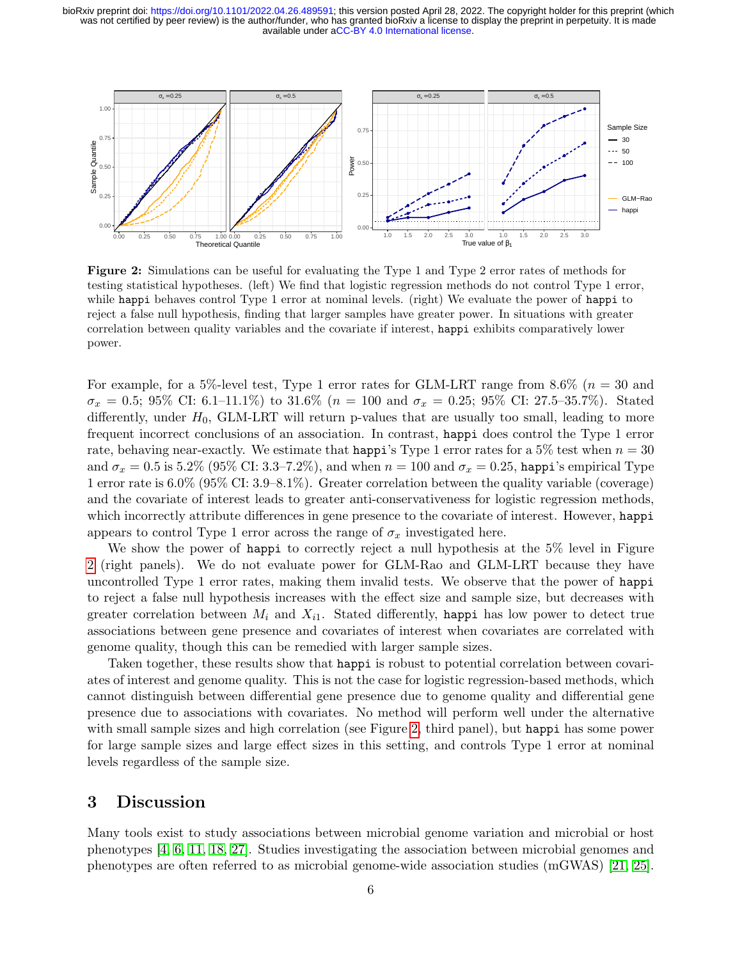<span id="page-5-0"></span>

Figure 2: Simulations can be useful for evaluating the Type 1 and Type 2 error rates of methods for testing statistical hypotheses. (left) We find that logistic regression methods do not control Type 1 error, while happi behaves control Type 1 error at nominal levels. (right) We evaluate the power of happi to reject a false null hypothesis, finding that larger samples have greater power. In situations with greater correlation between quality variables and the covariate if interest, happi exhibits comparatively lower power.

For example, for a 5%-level test, Type 1 error rates for GLM-LRT range from  $8.6\%$  ( $n = 30$  and  $\sigma_x = 0.5$ ; 95% CI: 6.1–11.1%) to 31.6% ( $n = 100$  and  $\sigma_x = 0.25$ ; 95% CI: 27.5–35.7%). Stated differently, under  $H_0$ , GLM-LRT will return p-values that are usually too small, leading to more frequent incorrect conclusions of an association. In contrast, happi does control the Type 1 error rate, behaving near-exactly. We estimate that happi's Type 1 error rates for a 5% test when  $n = 30$ and  $\sigma_x = 0.5$  is 5.2% (95% CI: 3.3–7.2%), and when  $n = 100$  and  $\sigma_x = 0.25$ , happi's empirical Type 1 error rate is 6.0% (95% CI: 3.9–8.1%). Greater correlation between the quality variable (coverage) and the covariate of interest leads to greater anti-conservativeness for logistic regression methods, which incorrectly attribute differences in gene presence to the covariate of interest. However, happi appears to control Type 1 error across the range of  $\sigma_x$  investigated here.

We show the power of happi to correctly reject a null hypothesis at the 5% level in Figure [2](#page-5-0) (right panels). We do not evaluate power for GLM-Rao and GLM-LRT because they have uncontrolled Type 1 error rates, making them invalid tests. We observe that the power of happi to reject a false null hypothesis increases with the effect size and sample size, but decreases with greater correlation between  $M_i$  and  $X_{i1}$ . Stated differently, happi has low power to detect true associations between gene presence and covariates of interest when covariates are correlated with genome quality, though this can be remedied with larger sample sizes.

Taken together, these results show that happi is robust to potential correlation between covariates of interest and genome quality. This is not the case for logistic regression-based methods, which cannot distinguish between differential gene presence due to genome quality and differential gene presence due to associations with covariates. No method will perform well under the alternative with small sample sizes and high correlation (see Figure [2,](#page-5-0) third panel), but happi has some power for large sample sizes and large effect sizes in this setting, and controls Type 1 error at nominal levels regardless of the sample size.

# 3 Discussion

Many tools exist to study associations between microbial genome variation and microbial or host phenotypes [\[4,](#page-9-6) [6,](#page-9-7) [11,](#page-9-8) [18,](#page-10-3) [27\]](#page-11-6). Studies investigating the association between microbial genomes and phenotypes are often referred to as microbial genome-wide association studies (mGWAS) [\[21,](#page-11-7) [25\]](#page-11-8).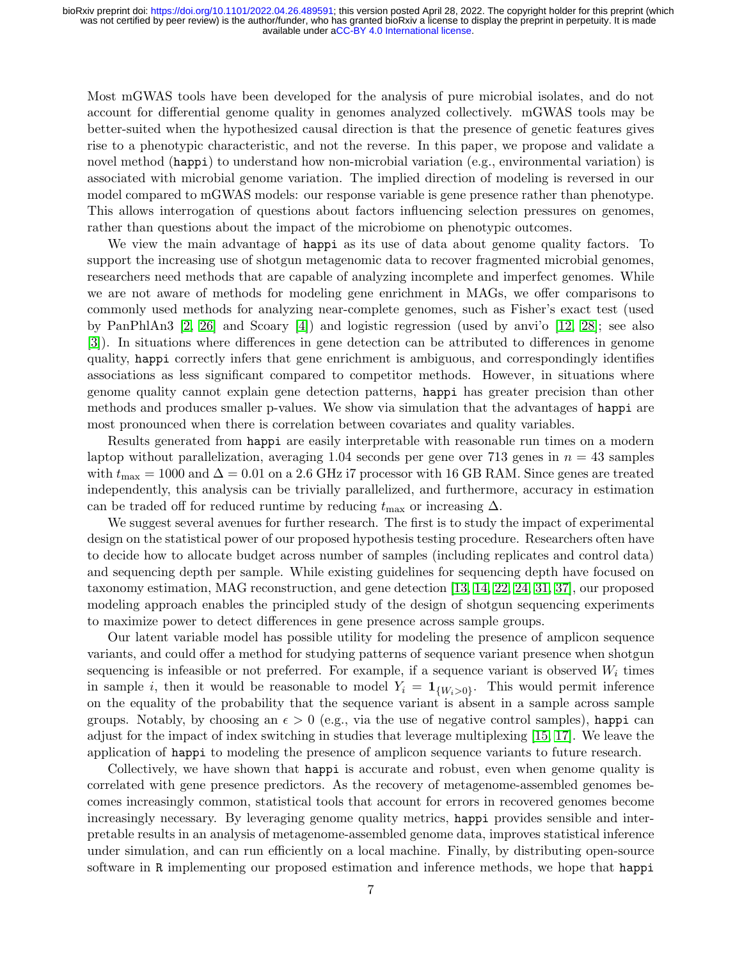Most mGWAS tools have been developed for the analysis of pure microbial isolates, and do not account for differential genome quality in genomes analyzed collectively. mGWAS tools may be better-suited when the hypothesized causal direction is that the presence of genetic features gives rise to a phenotypic characteristic, and not the reverse. In this paper, we propose and validate a novel method (happi) to understand how non-microbial variation (e.g., environmental variation) is associated with microbial genome variation. The implied direction of modeling is reversed in our model compared to mGWAS models: our response variable is gene presence rather than phenotype. This allows interrogation of questions about factors influencing selection pressures on genomes, rather than questions about the impact of the microbiome on phenotypic outcomes.

We view the main advantage of happi as its use of data about genome quality factors. To support the increasing use of shotgun metagenomic data to recover fragmented microbial genomes, researchers need methods that are capable of analyzing incomplete and imperfect genomes. While we are not aware of methods for modeling gene enrichment in MAGs, we offer comparisons to commonly used methods for analyzing near-complete genomes, such as Fisher's exact test (used by PanPhlAn3 [\[2,](#page-9-9) [26\]](#page-11-9) and Scoary [\[4\]](#page-9-6)) and logistic regression (used by anvi'o [\[12,](#page-10-4) [28\]](#page-11-5); see also [\[3\]](#page-9-10)). In situations where differences in gene detection can be attributed to differences in genome quality, happi correctly infers that gene enrichment is ambiguous, and correspondingly identifies associations as less significant compared to competitor methods. However, in situations where genome quality cannot explain gene detection patterns, happi has greater precision than other methods and produces smaller p-values. We show via simulation that the advantages of happi are most pronounced when there is correlation between covariates and quality variables.

Results generated from happi are easily interpretable with reasonable run times on a modern laptop without parallelization, averaging 1.04 seconds per gene over 713 genes in  $n = 43$  samples with  $t_{\text{max}} = 1000$  and  $\Delta = 0.01$  on a 2.6 GHz i7 processor with 16 GB RAM. Since genes are treated independently, this analysis can be trivially parallelized, and furthermore, accuracy in estimation can be traded off for reduced runtime by reducing  $t_{\text{max}}$  or increasing  $\Delta$ .

We suggest several avenues for further research. The first is to study the impact of experimental design on the statistical power of our proposed hypothesis testing procedure. Researchers often have to decide how to allocate budget across number of samples (including replicates and control data) and sequencing depth per sample. While existing guidelines for sequencing depth have focused on taxonomy estimation, MAG reconstruction, and gene detection [\[13,](#page-10-5) [14,](#page-10-6) [22,](#page-11-2) [24,](#page-11-3) [31,](#page-11-10) [37\]](#page-12-2), our proposed modeling approach enables the principled study of the design of shotgun sequencing experiments to maximize power to detect differences in gene presence across sample groups.

Our latent variable model has possible utility for modeling the presence of amplicon sequence variants, and could offer a method for studying patterns of sequence variant presence when shotgun sequencing is infeasible or not preferred. For example, if a sequence variant is observed  $W_i$  times in sample *i*, then it would be reasonable to model  $Y_i = \mathbf{1}_{\{W_i > 0\}}$ . This would permit inference on the equality of the probability that the sequence variant is absent in a sample across sample groups. Notably, by choosing an  $\epsilon > 0$  (e.g., via the use of negative control samples), happi can adjust for the impact of index switching in studies that leverage multiplexing [\[15,](#page-10-7) [17\]](#page-10-8). We leave the application of happi to modeling the presence of amplicon sequence variants to future research.

Collectively, we have shown that happi is accurate and robust, even when genome quality is correlated with gene presence predictors. As the recovery of metagenome-assembled genomes becomes increasingly common, statistical tools that account for errors in recovered genomes become increasingly necessary. By leveraging genome quality metrics, happi provides sensible and interpretable results in an analysis of metagenome-assembled genome data, improves statistical inference under simulation, and can run efficiently on a local machine. Finally, by distributing open-source software in R implementing our proposed estimation and inference methods, we hope that happi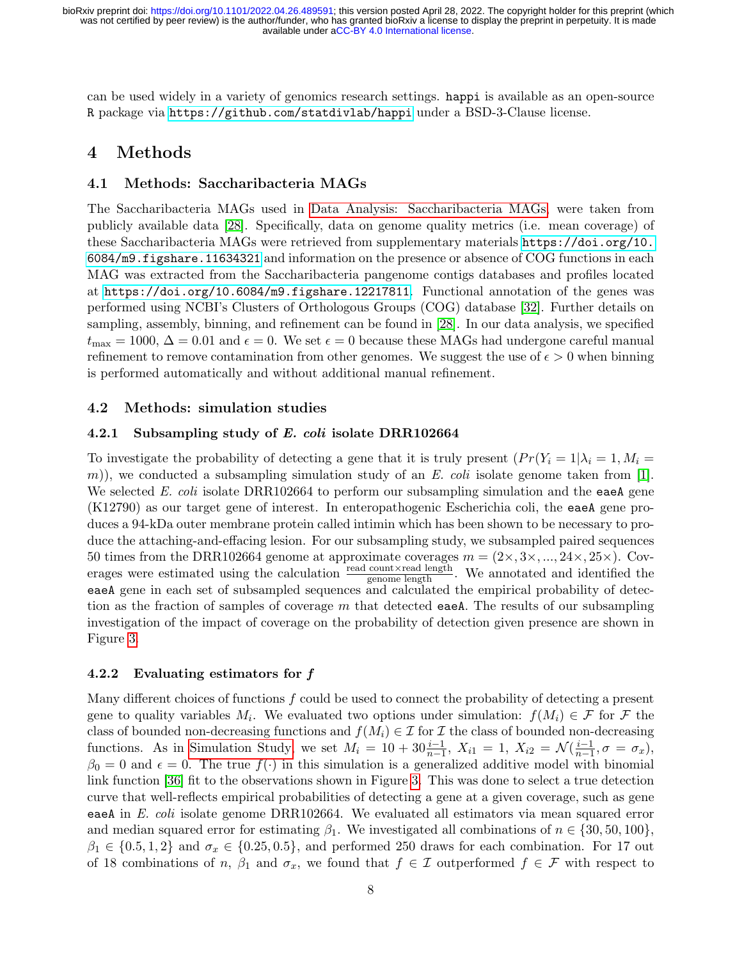can be used widely in a variety of genomics research settings. happi is available as an open-source R package via <https://github.com/statdivlab/happi> under a BSD-3-Clause license.

# <span id="page-7-1"></span>4 Methods

## 4.1 Methods: Saccharibacteria MAGs

The Saccharibacteria MAGs used in [Data Analysis: Saccharibacteria MAGs,](#page-3-0) were taken from publicly available data [\[28\]](#page-11-5). Specifically, data on genome quality metrics (i.e. mean coverage) of these Saccharibacteria MAGs were retrieved from supplementary materials [https://doi.org/10.](https://doi.org/10.6084/m9.figshare.11634321) [6084/m9.figshare.11634321](https://doi.org/10.6084/m9.figshare.11634321) and information on the presence or absence of COG functions in each MAG was extracted from the Saccharibacteria pangenome contigs databases and profiles located at <https://doi.org/10.6084/m9.figshare.12217811>. Functional annotation of the genes was performed using NCBI's Clusters of Orthologous Groups (COG) database [\[32\]](#page-12-4). Further details on sampling, assembly, binning, and refinement can be found in [\[28\]](#page-11-5). In our data analysis, we specified  $t_{\text{max}} = 1000, \Delta = 0.01$  and  $\epsilon = 0$ . We set  $\epsilon = 0$  because these MAGs had undergone careful manual refinement to remove contamination from other genomes. We suggest the use of  $\epsilon > 0$  when binning is performed automatically and without additional manual refinement.

## <span id="page-7-2"></span>4.2 Methods: simulation studies

### 4.2.1 Subsampling study of E. coli isolate DRR102664

To investigate the probability of detecting a gene that it is truly present  $(Pr(Y_i = 1 | \lambda_i = 1, M_i =$ m)), we conducted a subsampling simulation study of an E. coli isolate genome taken from [\[1\]](#page-9-5). We selected E. coli isolate DRR102664 to perform our subsampling simulation and the eaeA gene (K12790) as our target gene of interest. In enteropathogenic Escherichia coli, the eaeA gene produces a 94-kDa outer membrane protein called intimin which has been shown to be necessary to produce the attaching-and-effacing lesion. For our subsampling study, we subsampled paired sequences 50 times from the DRR102664 genome at approximate coverages  $m = (2 \times, 3 \times, ..., 24 \times, 25 \times)$ . Coverages were estimated using the calculation  $\frac{\text{read count} \times \text{read length}}{\text{genome length}}$ . We annotated and identified the eaeA gene in each set of subsampled sequences and calculated the empirical probability of detection as the fraction of samples of coverage  $m$  that detected eaeA. The results of our subsampling investigation of the impact of coverage on the probability of detection given presence are shown in Figure [3.](#page-8-0)

### <span id="page-7-0"></span>4.2.2 Evaluating estimators for f

Many different choices of functions  $f$  could be used to connect the probability of detecting a present gene to quality variables  $M_i$ . We evaluated two options under simulation:  $f(M_i) \in \mathcal{F}$  for  $\mathcal{F}$  the class of bounded non-decreasing functions and  $f(M_i) \in \mathcal{I}$  for  $\mathcal{I}$  the class of bounded non-decreasing functions. As in [Simulation Study,](#page-4-1) we set  $M_i = 10 + 30 \frac{i-1}{n-1}$ ,  $X_{i1} = 1$ ,  $X_{i2} = \mathcal{N}(\frac{i-1}{n-1})$  $\frac{i-1}{n-1}, \sigma = \sigma_x$ ),  $\beta_0 = 0$  and  $\epsilon = 0$ . The true  $f(\cdot)$  in this simulation is a generalized additive model with binomial link function [\[36\]](#page-12-5) fit to the observations shown in Figure [3.](#page-8-0) This was done to select a true detection curve that well-reflects empirical probabilities of detecting a gene at a given coverage, such as gene eaeA in E. coli isolate genome DRR102664. We evaluated all estimators via mean squared error and median squared error for estimating  $\beta_1$ . We investigated all combinations of  $n \in \{30, 50, 100\}$ ,  $\beta_1 \in \{0.5, 1, 2\}$  and  $\sigma_x \in \{0.25, 0.5\}$ , and performed 250 draws for each combination. For 17 out of 18 combinations of n,  $\beta_1$  and  $\sigma_x$ , we found that  $f \in \mathcal{I}$  outperformed  $f \in \mathcal{F}$  with respect to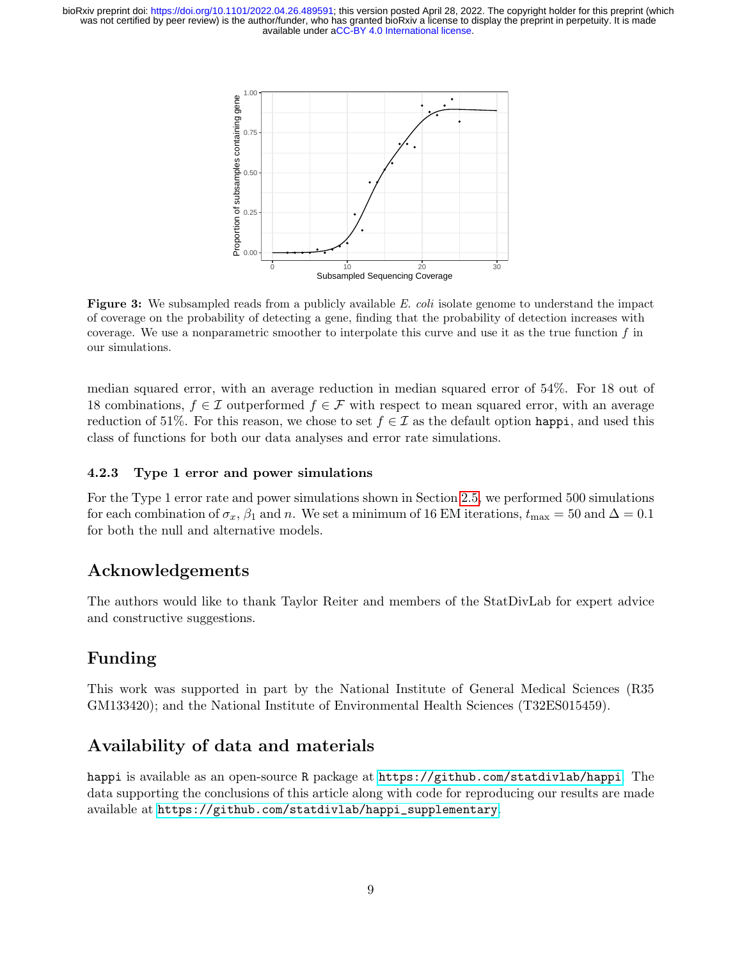<span id="page-8-0"></span>

Figure 3: We subsampled reads from a publicly available E. coli isolate genome to understand the impact of coverage on the probability of detecting a gene, finding that the probability of detection increases with coverage. We use a nonparametric smoother to interpolate this curve and use it as the true function  $f$  in our simulations.

median squared error, with an average reduction in median squared error of 54%. For 18 out of 18 combinations,  $f \in \mathcal{I}$  outperformed  $f \in \mathcal{F}$  with respect to mean squared error, with an average reduction of 51%. For this reason, we chose to set  $f \in \mathcal{I}$  as the default option happi, and used this class of functions for both our data analyses and error rate simulations.

## 4.2.3 Type 1 error and power simulations

For the Type 1 error rate and power simulations shown in Section [2.5,](#page-4-1) we performed 500 simulations for each combination of  $\sigma_x$ ,  $\beta_1$  and n. We set a minimum of 16 EM iterations,  $t_{\text{max}} = 50$  and  $\Delta = 0.1$ for both the null and alternative models.

# Acknowledgements

The authors would like to thank Taylor Reiter and members of the StatDivLab for expert advice and constructive suggestions.

# Funding

This work was supported in part by the National Institute of General Medical Sciences (R35 GM133420); and the National Institute of Environmental Health Sciences (T32ES015459).

# Availability of data and materials

happi is available as an open-source R package at <https://github.com/statdivlab/happi>. The data supporting the conclusions of this article along with code for reproducing our results are made available at [https://github.com/statdivlab/happi\\_supplementary](https://github.com/statdivlab/happi_supplementary).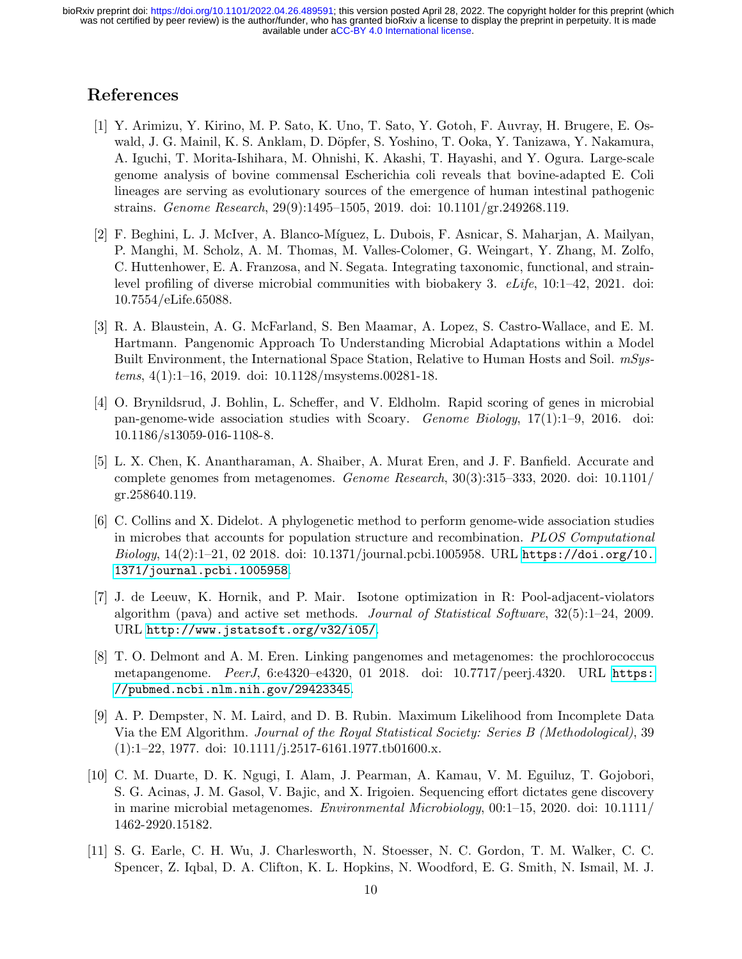# References

- <span id="page-9-5"></span>[1] Y. Arimizu, Y. Kirino, M. P. Sato, K. Uno, T. Sato, Y. Gotoh, F. Auvray, H. Brugere, E. Oswald, J. G. Mainil, K. S. Anklam, D. Döpfer, S. Yoshino, T. Ooka, Y. Tanizawa, Y. Nakamura, A. Iguchi, T. Morita-Ishihara, M. Ohnishi, K. Akashi, T. Hayashi, and Y. Ogura. Large-scale genome analysis of bovine commensal Escherichia coli reveals that bovine-adapted E. Coli lineages are serving as evolutionary sources of the emergence of human intestinal pathogenic strains. Genome Research, 29(9):1495–1505, 2019. doi: 10.1101/gr.249268.119.
- <span id="page-9-9"></span>[2] F. Beghini, L. J. McIver, A. Blanco-Míguez, L. Dubois, F. Asnicar, S. Maharjan, A. Mailyan, P. Manghi, M. Scholz, A. M. Thomas, M. Valles-Colomer, G. Weingart, Y. Zhang, M. Zolfo, C. Huttenhower, E. A. Franzosa, and N. Segata. Integrating taxonomic, functional, and strainlevel profiling of diverse microbial communities with biobakery 3.  $eLife$ , 10:1–42, 2021. doi: 10.7554/eLife.65088.
- <span id="page-9-10"></span>[3] R. A. Blaustein, A. G. McFarland, S. Ben Maamar, A. Lopez, S. Castro-Wallace, and E. M. Hartmann. Pangenomic Approach To Understanding Microbial Adaptations within a Model Built Environment, the International Space Station, Relative to Human Hosts and Soil.  $mSys$ tems, 4(1):1–16, 2019. doi: 10.1128/msystems.00281-18.
- <span id="page-9-6"></span>[4] O. Brynildsrud, J. Bohlin, L. Scheffer, and V. Eldholm. Rapid scoring of genes in microbial pan-genome-wide association studies with Scoary. Genome Biology, 17(1):1–9, 2016. doi: 10.1186/s13059-016-1108-8.
- <span id="page-9-2"></span>[5] L. X. Chen, K. Anantharaman, A. Shaiber, A. Murat Eren, and J. F. Banfield. Accurate and complete genomes from metagenomes. Genome Research, 30(3):315–333, 2020. doi: 10.1101/ gr.258640.119.
- <span id="page-9-7"></span>[6] C. Collins and X. Didelot. A phylogenetic method to perform genome-wide association studies in microbes that accounts for population structure and recombination. PLOS Computational  $Biology, 14(2):1-21, 02 2018.$  doi:  $10.1371/journal.pcbi.1005958. \text{ URL `https://doi.org/10.1005958.}`$  $10.1371/journal.pcbi.1005958. \text{ URL `https://doi.org/10.1005958.}`$  $10.1371/journal.pcbi.1005958. \text{ URL `https://doi.org/10.1005958.}`$ [1371/journal.pcbi.1005958](https://doi.org/10.1371/journal.pcbi.1005958).
- <span id="page-9-4"></span>[7] J. de Leeuw, K. Hornik, and P. Mair. Isotone optimization in R: Pool-adjacent-violators algorithm (pava) and active set methods. Journal of Statistical Software, 32(5):1–24, 2009. URL <http://www.jstatsoft.org/v32/i05/>.
- <span id="page-9-0"></span>[8] T. O. Delmont and A. M. Eren. Linking pangenomes and metagenomes: the prochlorococcus metapangenome. PeerJ, 6:e4320–e4320, 01 2018. doi: 10.7717/peerj.4320. URL [https:](https://pubmed.ncbi.nlm.nih.gov/29423345) [//pubmed.ncbi.nlm.nih.gov/29423345](https://pubmed.ncbi.nlm.nih.gov/29423345).
- <span id="page-9-3"></span>[9] A. P. Dempster, N. M. Laird, and D. B. Rubin. Maximum Likelihood from Incomplete Data Via the EM Algorithm. Journal of the Royal Statistical Society: Series B (Methodological), 39  $(1):1-22$ , 1977. doi: 10.1111/j.2517-6161.1977.tb01600.x.
- <span id="page-9-1"></span>[10] C. M. Duarte, D. K. Ngugi, I. Alam, J. Pearman, A. Kamau, V. M. Eguiluz, T. Gojobori, S. G. Acinas, J. M. Gasol, V. Bajic, and X. Irigoien. Sequencing effort dictates gene discovery in marine microbial metagenomes. Environmental Microbiology, 00:1–15, 2020. doi: 10.1111/ 1462-2920.15182.
- <span id="page-9-8"></span>[11] S. G. Earle, C. H. Wu, J. Charlesworth, N. Stoesser, N. C. Gordon, T. M. Walker, C. C. Spencer, Z. Iqbal, D. A. Clifton, K. L. Hopkins, N. Woodford, E. G. Smith, N. Ismail, M. J.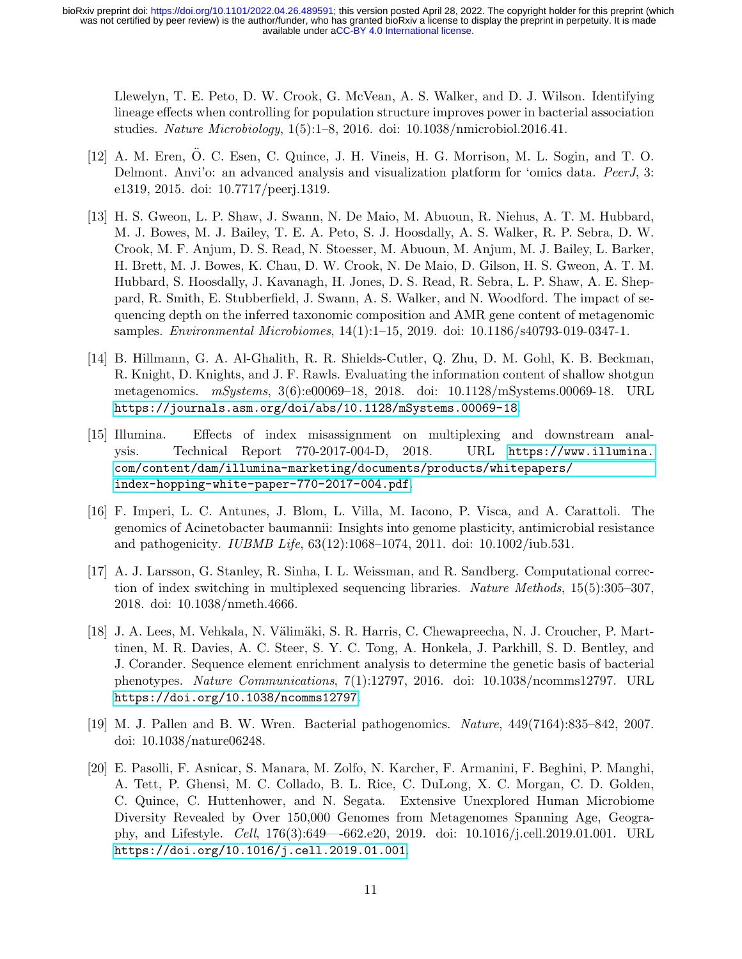Llewelyn, T. E. Peto, D. W. Crook, G. McVean, A. S. Walker, and D. J. Wilson. Identifying lineage effects when controlling for population structure improves power in bacterial association studies. Nature Microbiology, 1(5):1–8, 2016. doi: 10.1038/nmicrobiol.2016.41.

- <span id="page-10-4"></span>[12] A. M. Eren, O. C. Esen, C. Quince, J. H. Vineis, H. G. Morrison, M. L. Sogin, and T. O. ¨ Delmont. Anvi'o: an advanced analysis and visualization platform for 'omics data. PeerJ, 3: e1319, 2015. doi: 10.7717/peerj.1319.
- <span id="page-10-5"></span>[13] H. S. Gweon, L. P. Shaw, J. Swann, N. De Maio, M. Abuoun, R. Niehus, A. T. M. Hubbard, M. J. Bowes, M. J. Bailey, T. E. A. Peto, S. J. Hoosdally, A. S. Walker, R. P. Sebra, D. W. Crook, M. F. Anjum, D. S. Read, N. Stoesser, M. Abuoun, M. Anjum, M. J. Bailey, L. Barker, H. Brett, M. J. Bowes, K. Chau, D. W. Crook, N. De Maio, D. Gilson, H. S. Gweon, A. T. M. Hubbard, S. Hoosdally, J. Kavanagh, H. Jones, D. S. Read, R. Sebra, L. P. Shaw, A. E. Sheppard, R. Smith, E. Stubberfield, J. Swann, A. S. Walker, and N. Woodford. The impact of sequencing depth on the inferred taxonomic composition and AMR gene content of metagenomic samples. Environmental Microbiomes, 14(1):1–15, 2019. doi: 10.1186/s40793-019-0347-1.
- <span id="page-10-6"></span>[14] B. Hillmann, G. A. Al-Ghalith, R. R. Shields-Cutler, Q. Zhu, D. M. Gohl, K. B. Beckman, R. Knight, D. Knights, and J. F. Rawls. Evaluating the information content of shallow shotgun metagenomics. mSystems, 3(6):e00069–18, 2018. doi: 10.1128/mSystems.00069-18. URL <https://journals.asm.org/doi/abs/10.1128/mSystems.00069-18>.
- <span id="page-10-7"></span>[15] Illumina. Effects of index misassignment on multiplexing and downstream analysis. Technical Report 770-2017-004-D, 2018. URL [https://www.illumina.](https://www.illumina.com/content/dam/illumina-marketing/documents/products/whitepapers/index-hopping-white-paper-770-2017-004.pdf) [com/content/dam/illumina-marketing/documents/products/whitepapers/](https://www.illumina.com/content/dam/illumina-marketing/documents/products/whitepapers/index-hopping-white-paper-770-2017-004.pdf) [index-hopping-white-paper-770-2017-004.pdf](https://www.illumina.com/content/dam/illumina-marketing/documents/products/whitepapers/index-hopping-white-paper-770-2017-004.pdf).
- <span id="page-10-0"></span>[16] F. Imperi, L. C. Antunes, J. Blom, L. Villa, M. Iacono, P. Visca, and A. Carattoli. The genomics of Acinetobacter baumannii: Insights into genome plasticity, antimicrobial resistance and pathogenicity. IUBMB Life, 63(12):1068–1074, 2011. doi: 10.1002/iub.531.
- <span id="page-10-8"></span>[17] A. J. Larsson, G. Stanley, R. Sinha, I. L. Weissman, and R. Sandberg. Computational correction of index switching in multiplexed sequencing libraries. Nature Methods, 15(5):305–307, 2018. doi: 10.1038/nmeth.4666.
- <span id="page-10-3"></span>[18] J. A. Lees, M. Vehkala, N. Välimäki, S. R. Harris, C. Chewapreecha, N. J. Croucher, P. Marttinen, M. R. Davies, A. C. Steer, S. Y. C. Tong, A. Honkela, J. Parkhill, S. D. Bentley, and J. Corander. Sequence element enrichment analysis to determine the genetic basis of bacterial phenotypes. Nature Communications, 7(1):12797, 2016. doi: 10.1038/ncomms12797. URL <https://doi.org/10.1038/ncomms12797>.
- <span id="page-10-1"></span>[19] M. J. Pallen and B. W. Wren. Bacterial pathogenomics. Nature, 449(7164):835–842, 2007. doi: 10.1038/nature06248.
- <span id="page-10-2"></span>[20] E. Pasolli, F. Asnicar, S. Manara, M. Zolfo, N. Karcher, F. Armanini, F. Beghini, P. Manghi, A. Tett, P. Ghensi, M. C. Collado, B. L. Rice, C. DuLong, X. C. Morgan, C. D. Golden, C. Quince, C. Huttenhower, and N. Segata. Extensive Unexplored Human Microbiome Diversity Revealed by Over 150,000 Genomes from Metagenomes Spanning Age, Geography, and Lifestyle. Cell, 176(3):649—-662.e20, 2019. doi: 10.1016/j.cell.2019.01.001. URL <https://doi.org/10.1016/j.cell.2019.01.001>.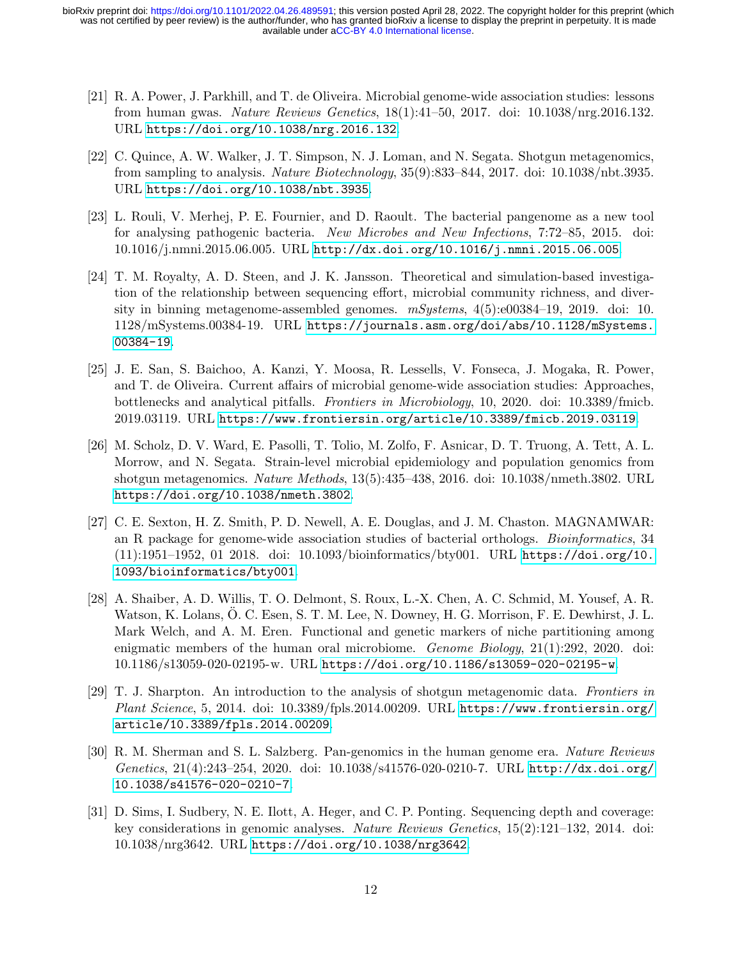- <span id="page-11-7"></span>[21] R. A. Power, J. Parkhill, and T. de Oliveira. Microbial genome-wide association studies: lessons from human gwas. Nature Reviews Genetics, 18(1):41–50, 2017. doi: 10.1038/nrg.2016.132. URL <https://doi.org/10.1038/nrg.2016.132>.
- <span id="page-11-2"></span>[22] C. Quince, A. W. Walker, J. T. Simpson, N. J. Loman, and N. Segata. Shotgun metagenomics, from sampling to analysis. Nature Biotechnology, 35(9):833–844, 2017. doi: 10.1038/nbt.3935. URL <https://doi.org/10.1038/nbt.3935>.
- <span id="page-11-0"></span>[23] L. Rouli, V. Merhej, P. E. Fournier, and D. Raoult. The bacterial pangenome as a new tool for analysing pathogenic bacteria. New Microbes and New Infections, 7:72–85, 2015. doi: 10.1016/j.nmni.2015.06.005. URL <http://dx.doi.org/10.1016/j.nmni.2015.06.005>.
- <span id="page-11-3"></span>[24] T. M. Royalty, A. D. Steen, and J. K. Jansson. Theoretical and simulation-based investigation of the relationship between sequencing effort, microbial community richness, and diversity in binning metagenome-assembled genomes.  $mSystems$ ,  $4(5):e00384-19$ , 2019. doi: 10. 1128/mSystems.00384-19. URL [https://journals.asm.org/doi/abs/10.1128/mSystems.](https://journals.asm.org/doi/abs/10.1128/mSystems.00384-19) [00384-19](https://journals.asm.org/doi/abs/10.1128/mSystems.00384-19).
- <span id="page-11-8"></span>[25] J. E. San, S. Baichoo, A. Kanzi, Y. Moosa, R. Lessells, V. Fonseca, J. Mogaka, R. Power, and T. de Oliveira. Current affairs of microbial genome-wide association studies: Approaches, bottlenecks and analytical pitfalls. Frontiers in Microbiology, 10, 2020. doi: 10.3389/fmicb. 2019.03119. URL <https://www.frontiersin.org/article/10.3389/fmicb.2019.03119>.
- <span id="page-11-9"></span>[26] M. Scholz, D. V. Ward, E. Pasolli, T. Tolio, M. Zolfo, F. Asnicar, D. T. Truong, A. Tett, A. L. Morrow, and N. Segata. Strain-level microbial epidemiology and population genomics from shotgun metagenomics. Nature Methods, 13(5):435–438, 2016. doi: 10.1038/nmeth.3802. URL <https://doi.org/10.1038/nmeth.3802>.
- <span id="page-11-6"></span>[27] C. E. Sexton, H. Z. Smith, P. D. Newell, A. E. Douglas, and J. M. Chaston. MAGNAMWAR: an R package for genome-wide association studies of bacterial orthologs. Bioinformatics, 34 (11):1951–1952, 01 2018. doi: 10.1093/bioinformatics/bty001. URL [https://doi.org/10.](https://doi.org/10.1093/bioinformatics/bty001) [1093/bioinformatics/bty001](https://doi.org/10.1093/bioinformatics/bty001).
- <span id="page-11-5"></span>[28] A. Shaiber, A. D. Willis, T. O. Delmont, S. Roux, L.-X. Chen, A. C. Schmid, M. Yousef, A. R. Watson, K. Lolans, O. C. Esen, S. T. M. Lee, N. Downey, H. G. Morrison, F. E. Dewhirst, J. L. Mark Welch, and A. M. Eren. Functional and genetic markers of niche partitioning among enigmatic members of the human oral microbiome. Genome Biology, 21(1):292, 2020. doi: 10.1186/s13059-020-02195-w. URL <https://doi.org/10.1186/s13059-020-02195-w>.
- <span id="page-11-4"></span>[29] T. J. Sharpton. An introduction to the analysis of shotgun metagenomic data. Frontiers in Plant Science, 5, 2014. doi: 10.3389/fpls.2014.00209. URL [https://www.frontiersin.org/](https://www.frontiersin.org/article/10.3389/fpls.2014.00209) [article/10.3389/fpls.2014.00209](https://www.frontiersin.org/article/10.3389/fpls.2014.00209).
- <span id="page-11-1"></span>[30] R. M. Sherman and S. L. Salzberg. Pan-genomics in the human genome era. Nature Reviews Genetics, 21(4):243–254, 2020. doi: 10.1038/s41576-020-0210-7. URL [http://dx.doi.org/](http://dx.doi.org/10.1038/s41576-020-0210-7) [10.1038/s41576-020-0210-7](http://dx.doi.org/10.1038/s41576-020-0210-7).
- <span id="page-11-10"></span>[31] D. Sims, I. Sudbery, N. E. Ilott, A. Heger, and C. P. Ponting. Sequencing depth and coverage: key considerations in genomic analyses. Nature Reviews Genetics, 15(2):121–132, 2014. doi: 10.1038/nrg3642. URL <https://doi.org/10.1038/nrg3642>.